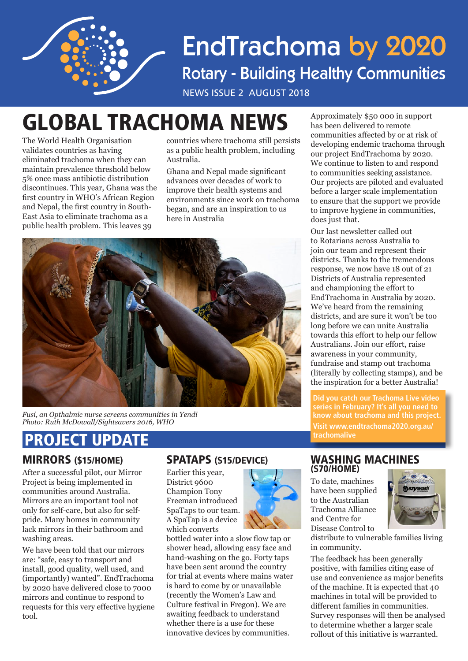

# **EndTrachoma by 2020 Rotary - Building Healthy Communities**

NEWS ISSUE 2 AUGUST 2018

# GLOBAL TRACHOMA NEWS Approximately \$50 000 in support

The World Health Organisation validates countries as having eliminated trachoma when they can maintain prevalence threshold below 5% once mass antibiotic distribution discontinues. This year, Ghana was the first country in WHO's African Region and Nepal, the first country in South-East Asia to eliminate trachoma as a public health problem. This leaves 39

countries where trachoma still persists as a public health problem, including Australia.

Ghana and Nepal made significant advances over decades of work to improve their health systems and environments since work on trachoma began, and are an inspiration to us here in Australia



*Fusi, an Opthalmic nurse screens communities in Yendi Photo: Ruth McDowall/Sightsavers 2016, WHO*

## MIRRORS (\$15/HOME) PROJECT UPDATE

After a successful pilot, our Mirror Project is being implemented in communities around Australia. Mirrors are an important tool not only for self-care, but also for selfpride. Many homes in community lack mirrors in their bathroom and washing areas.

We have been told that our mirrors are: "safe, easy to transport and install, good quality, well used, and (importantly) wanted". EndTrachoma by 2020 have delivered close to 7000 mirrors and continue to respond to requests for this very effective hygiene tool.

### SPATAPS (\$15/DEVICE)

Earlier this year, District 9600 Champion Tony Freeman introduced SpaTaps to our team. A SpaTap is a device which converts

bottled water into a slow flow tap or shower head, allowing easy face and hand-washing on the go. Forty taps have been sent around the country for trial at events where mains water is hard to come by or unavailable (recently the Women's Law and Culture festival in Fregon). We are awaiting feedback to understand whether there is a use for these innovative devices by communities.



has been delivered to remote communities affected by or at risk of developing endemic trachoma through our project EndTrachoma by 2020. We continue to listen to and respond to communities seeking assistance. Our projects are piloted and evaluated before a larger scale implementation to ensure that the support we provide to improve hygiene in communities, does just that.

Our last newsletter called out to Rotarians across Australia to join our team and represent their districts. Thanks to the tremendous response, we now have 18 out of 21 Districts of Australia represented and championing the effort to EndTrachoma in Australia by 2020. We've heard from the remaining districts, and are sure it won't be too long before we can unite Australia towards this effort to help our fellow Australians. Join our effort, raise awareness in your community, fundraise and stamp out trachoma (literally by collecting stamps), and be the inspiration for a better Australia!

**Did you catch our Trachoma Live video series in February? It's all you need to know about trachoma and this project. Visit www.endtrachoma2020.org.au/ trachomalive**

#### WASHING MACHINES (\$70/HOME)

To date, machines have been supplied to the Australian Trachoma Alliance and Centre for Disease Control to



distribute to vulnerable families living in community.

The feedback has been generally positive, with families citing ease of use and convenience as major benefits of the machine. It is expected that 40 machines in total will be provided to different families in communities. Survey responses will then be analysed to determine whether a larger scale rollout of this initiative is warranted.